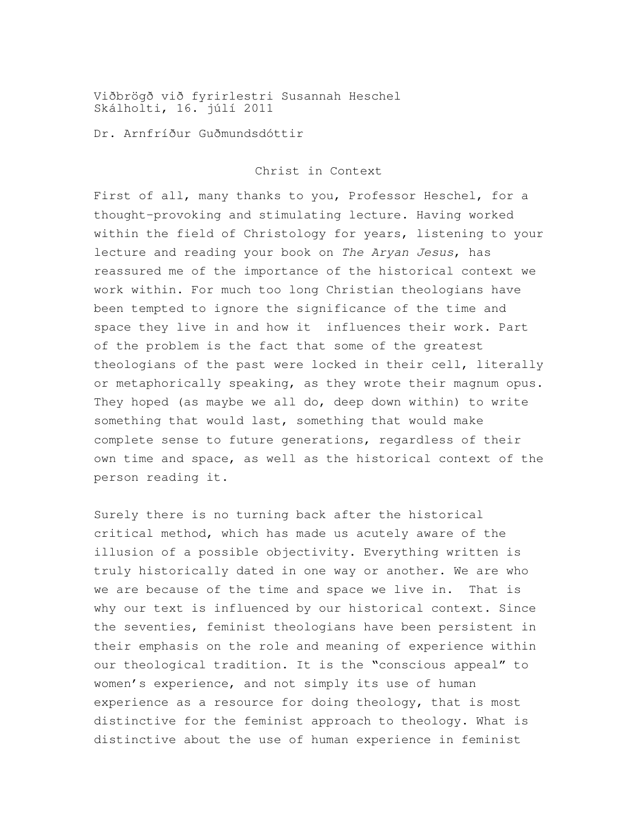Viðbrögð við fyrirlestri Susannah Heschel Skálholti, 16. júlí 2011

Dr. Arnfríður Guðmundsdóttir

Christ in Context

First of all, many thanks to you, Professor Heschel, for a thought-provoking and stimulating lecture. Having worked within the field of Christology for years, listening to your lecture and reading your book on *The Aryan Jesus*, has reassured me of the importance of the historical context we work within. For much too long Christian theologians have been tempted to ignore the significance of the time and space they live in and how it influences their work. Part of the problem is the fact that some of the greatest theologians of the past were locked in their cell, literally or metaphorically speaking, as they wrote their magnum opus. They hoped (as maybe we all do, deep down within) to write something that would last, something that would make complete sense to future generations, regardless of their own time and space, as well as the historical context of the person reading it.

Surely there is no turning back after the historical critical method, which has made us acutely aware of the illusion of a possible objectivity. Everything written is truly historically dated in one way or another. We are who we are because of the time and space we live in. That is why our text is influenced by our historical context. Since the seventies, feminist theologians have been persistent in their emphasis on the role and meaning of experience within our theological tradition. It is the "conscious appeal" to women's experience, and not simply its use of human experience as a resource for doing theology, that is most distinctive for the feminist approach to theology. What is distinctive about the use of human experience in feminist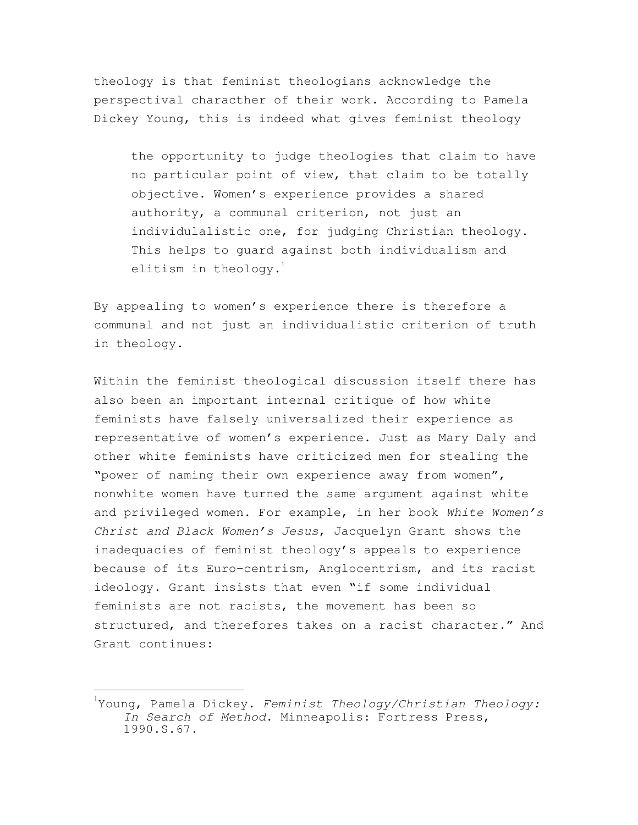theology is that feminist theologians acknowledge the perspectival characther of their work. According to Pamela Dickey Young, this is indeed what gives feminist theology

the opportunity to judge theologies that claim to have no particular point of view, that claim to be totally objective. Women's experience provides a shared authority, a communal criterion, not just an individulalistic one, for judging Christian theology. This helps to guard against both individualism and elitism in theology. $1$ 

By appealing to women's experience there is therefore a communal and not just an individualistic criterion of truth in theology.

Within the feminist theological discussion itself there has also been an important internal critique of how white feminists have falsely universalized their experience as representative of women's experience. Just as Mary Daly and other white feminists have criticized men for stealing the "power of naming their own experience away from women", nonwhite women have turned the same argument against white and privileged women. For example, in her book *White Women's Christ and Black Women's Jesus*, Jacquelyn Grant shows the inadequacies of feminist theology's appeals to experience because of its Euro-centrism, Anglocentrism, and its racist ideology. Grant insists that even "if some individual feminists are not racists, the movement has been so structured, and therefores takes on a racist character." And Grant continues:

 $\overline{a}$ 

<sup>1</sup> Young, Pamela Dickey. *Feminist Theology/Christian Theology: In Search of Method*. Minneapolis: Fortress Press, 1990.S.67.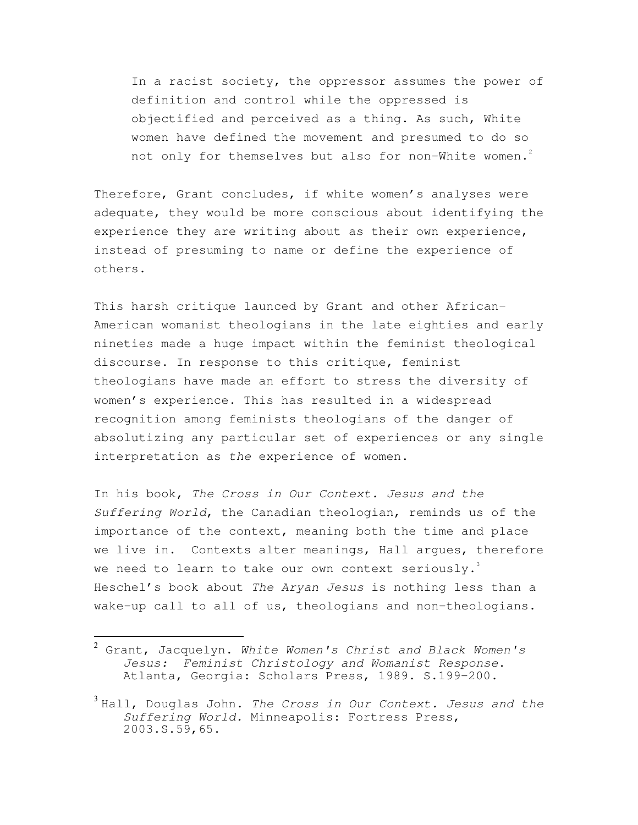In a racist society, the oppressor assumes the power of definition and control while the oppressed is objectified and perceived as a thing. As such, White women have defined the movement and presumed to do so not only for themselves but also for non-White women.<sup>2</sup>

Therefore, Grant concludes, if white women's analyses were adequate, they would be more conscious about identifying the experience they are writing about as their own experience, instead of presuming to name or define the experience of others.

This harsh critique launced by Grant and other African-American womanist theologians in the late eighties and early nineties made a huge impact within the feminist theological discourse. In response to this critique, feminist theologians have made an effort to stress the diversity of women's experience. This has resulted in a widespread recognition among feminists theologians of the danger of absolutizing any particular set of experiences or any single interpretation as *the* experience of women.

In his book, *The Cross in Our Context. Jesus and the Suffering World*, the Canadian theologian, reminds us of the importance of the context, meaning both the time and place we live in. Contexts alter meanings, Hall argues, therefore we need to learn to take our own context seriously. Heschel's book about *The Aryan Jesus* is nothing less than a wake-up call to all of us, theologians and non-theologians.

l.

<sup>2</sup> Grant, Jacquelyn. *White Women's Christ and Black Women's Jesus: Feminist Christology and Womanist Response*. Atlanta, Georgia: Scholars Press, 1989. S.199-200.

<sup>3</sup> Hall, Douglas John. *The Cross in Our Context. Jesus and the Suffering World.* Minneapolis: Fortress Press, 2003.S.59,65.